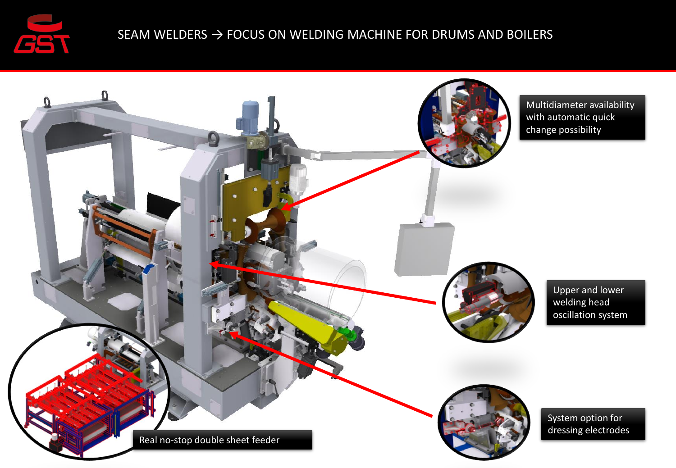

## SEAM WELDERS  $\rightarrow$  FOCUS ON WELDING MACHINE FOR DRUMS AND BOILERS

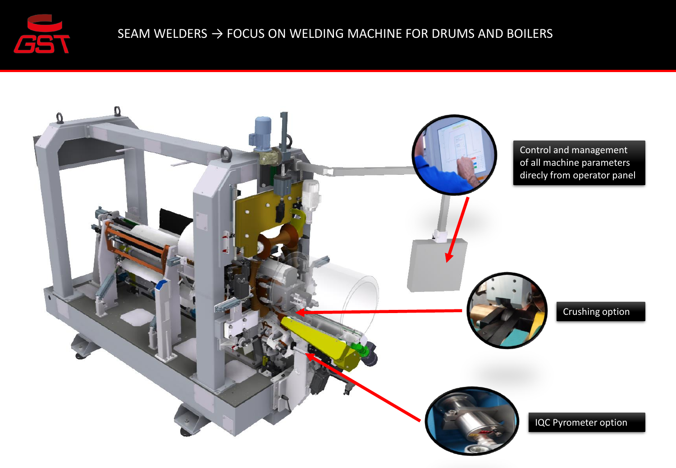

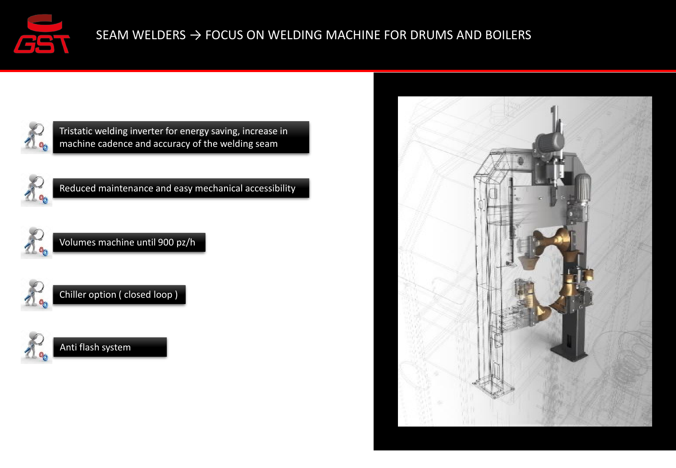



Tristatic welding inverter for energy saving, increase in machine cadence and accuracy of the welding seam



Reduced maintenance and easy mechanical accessibility



Volumes machine until 900 pz/h





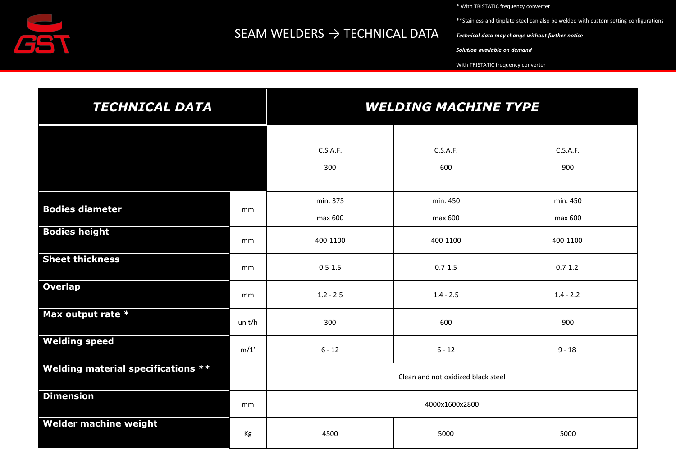

## SEAM WELDERS  $\rightarrow$  TECHNICAL DATA

\* With TRISTATIC frequency converter

\*\*Stainless and tinplate steel can also be welded with custom setting configurations

*Technical data may change without further notice* 

*Solution available on demand*

With TRISTATIC frequency converter

| <b>TECHNICAL DATA</b>                     |        | <b>WELDING MACHINE TYPE</b>        |                     |                     |
|-------------------------------------------|--------|------------------------------------|---------------------|---------------------|
|                                           |        | C.S.A.F.<br>300                    | C.S.A.F.<br>600     | C.S.A.F.<br>900     |
| <b>Bodies diameter</b>                    | mm     | min. 375<br>max 600                | min. 450<br>max 600 | min. 450<br>max 600 |
| <b>Bodies height</b>                      | mm     | 400-1100                           | 400-1100            | 400-1100            |
| <b>Sheet thickness</b>                    | mm     | $0.5 - 1.5$                        | $0.7 - 1.5$         | $0.7 - 1.2$         |
| <b>Overlap</b>                            | mm     | $1.2 - 2.5$                        | $1.4 - 2.5$         | $1.4 - 2.2$         |
| Max output rate *                         | unit/h | 300                                | 600                 | 900                 |
| <b>Welding speed</b>                      | m/1'   | $6 - 12$                           | $6 - 12$            | $9 - 18$            |
| <b>Welding material specifications **</b> |        | Clean and not oxidized black steel |                     |                     |
| <b>Dimension</b>                          | mm     | 4000x1600x2800                     |                     |                     |
| Welder machine weight                     | Kg     | 4500                               | 5000                | 5000                |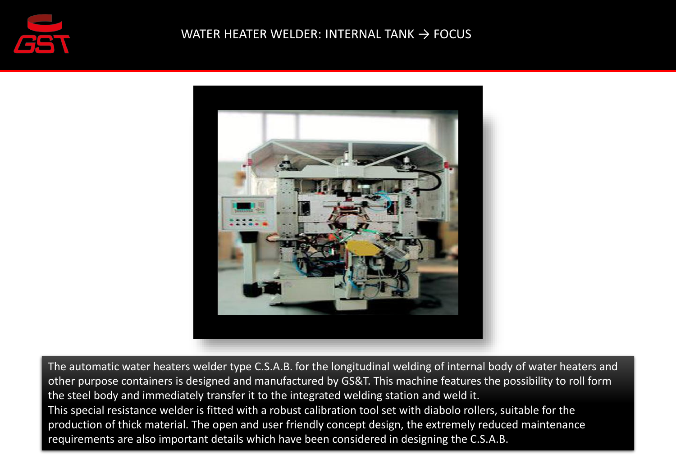



The automatic water heaters welder type C.S.A.B. for the longitudinal welding of internal body of water heaters and other purpose containers is designed and manufactured by GS&T. This machine features the possibility to roll form the steel body and immediately transfer it to the integrated welding station and weld it. This special resistance welder is fitted with a robust calibration tool set with diabolo rollers, suitable for the production of thick material. The open and user friendly concept design, the extremely reduced maintenance requirements are also important details which have been considered in designing the C.S.A.B.